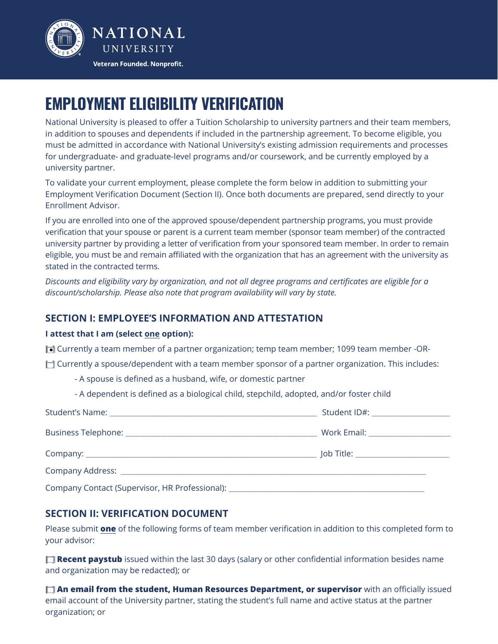

# **EMPLOYMENT ELIGIBILITY VERIFICATION**

National University is pleased to offer a Tuition Scholarship to university partners and their team members, in addition to spouses and dependents if included in the partnership agreement. To become eligible, you must be admitted in accordance with National University's existing admission requirements and processes for undergraduate- and graduate-level programs and/or coursework, and be currently employed by a university partner.

To validate your current employment, please complete the form below in addition to submitting your Employment Verification Document (Section II). Once both documents are prepared, send directly to your Enrollment Advisor.

If you are enrolled into one of the approved spouse/dependent partnership programs, you must provide verification that your spouse or parent is a current team member (sponsor team member) of the contracted university partner by providing a letter of verification from your sponsored team member. In order to remain eligible, you must be and remain affiliated with the organization that has an agreement with the university as stated in the contracted terms.

*Discounts and eligibility vary by organization, and not all degree programs and certificates are eligible for a discount/scholarship. Please also note that program availability will vary by state.* 

## **SECTION I: EMPLOYEE'S INFORMATION AND ATTESTATION**

#### **I attest that I am (select one option):**

**□** Currently a team member of a partner organization; temp team member; 1099 team member -OR-

 $\Box$  Currently a spouse/dependent with a team member sponsor of a partner organization. This includes:

- A spouse is defined as a husband, wife, or domestic partner

- A dependent is defined as a biological child, stepchild, adopted, and/or foster child

|                                                                                   | Student ID#: ____________________    |
|-----------------------------------------------------------------------------------|--------------------------------------|
|                                                                                   |                                      |
|                                                                                   | Job Title: _________________________ |
|                                                                                   |                                      |
| Company Contact (Supervisor, HR Professional): __________________________________ |                                      |

### **SECTION II: VERIFICATION DOCUMENT**

Please submit **one** of the following forms of team member verification in addition to this completed form to your advisor:

**T Recent paystub** issued within the last 30 days (salary or other confidential information besides name and organization may be redacted); or

**[ ] An email from the student, Human Resources Department, or supervisor** with an officially issued email account of the University partner, stating the student's full name and active status at the partner organization; or